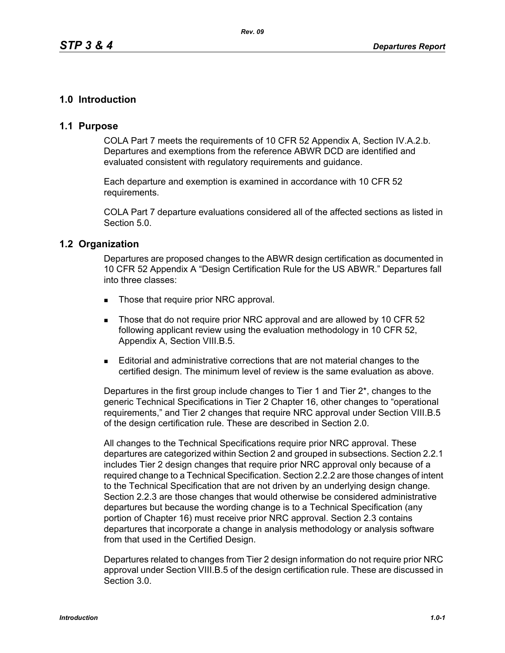# **1.0 Introduction**

# **1.1 Purpose**

COLA Part 7 meets the requirements of 10 CFR 52 Appendix A, Section IV.A.2.b. Departures and exemptions from the reference ABWR DCD are identified and evaluated consistent with regulatory requirements and guidance.

Each departure and exemption is examined in accordance with 10 CFR 52 requirements.

COLA Part 7 departure evaluations considered all of the affected sections as listed in Section 5.0.

## **1.2 Organization**

Departures are proposed changes to the ABWR design certification as documented in 10 CFR 52 Appendix A "Design Certification Rule for the US ABWR." Departures fall into three classes:

- Those that require prior NRC approval.
- Those that do not require prior NRC approval and are allowed by 10 CFR 52 following applicant review using the evaluation methodology in 10 CFR 52, Appendix A, Section VIII.B.5.
- Editorial and administrative corrections that are not material changes to the certified design. The minimum level of review is the same evaluation as above.

Departures in the first group include changes to Tier 1 and Tier 2\*, changes to the generic Technical Specifications in Tier 2 Chapter 16, other changes to "operational requirements," and Tier 2 changes that require NRC approval under Section VIII.B.5 of the design certification rule. These are described in Section 2.0.

All changes to the Technical Specifications require prior NRC approval. These departures are categorized within Section 2 and grouped in subsections. Section 2.2.1 includes Tier 2 design changes that require prior NRC approval only because of a required change to a Technical Specification. Section 2.2.2 are those changes of intent to the Technical Specification that are not driven by an underlying design change. Section 2.2.3 are those changes that would otherwise be considered administrative departures but because the wording change is to a Technical Specification (any portion of Chapter 16) must receive prior NRC approval. Section 2.3 contains departures that incorporate a change in analysis methodology or analysis software from that used in the Certified Design.

Departures related to changes from Tier 2 design information do not require prior NRC approval under Section VIII.B.5 of the design certification rule. These are discussed in Section 3.0.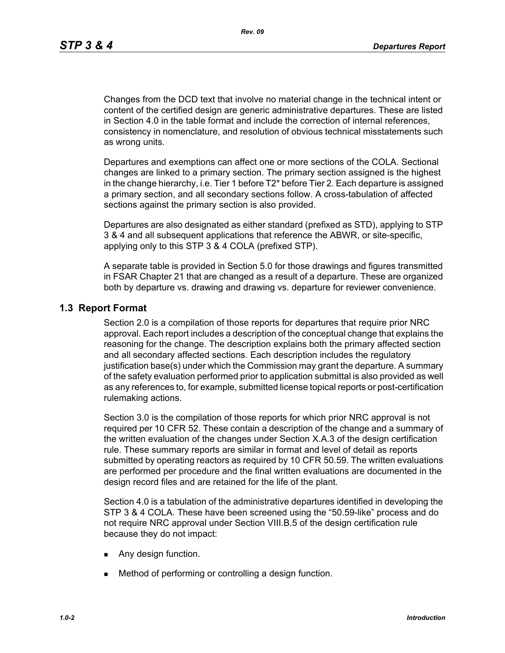Changes from the DCD text that involve no material change in the technical intent or content of the certified design are generic administrative departures. These are listed in Section 4.0 in the table format and include the correction of internal references, consistency in nomenclature, and resolution of obvious technical misstatements such as wrong units.

Departures and exemptions can affect one or more sections of the COLA. Sectional changes are linked to a primary section. The primary section assigned is the highest in the change hierarchy, i.e. Tier 1 before T2\* before Tier 2. Each departure is assigned a primary section, and all secondary sections follow. A cross-tabulation of affected sections against the primary section is also provided.

Departures are also designated as either standard (prefixed as STD), applying to STP 3 & 4 and all subsequent applications that reference the ABWR, or site-specific, applying only to this STP 3 & 4 COLA (prefixed STP).

A separate table is provided in Section 5.0 for those drawings and figures transmitted in FSAR Chapter 21 that are changed as a result of a departure. These are organized both by departure vs. drawing and drawing vs. departure for reviewer convenience.

## **1.3 Report Format**

Section 2.0 is a compilation of those reports for departures that require prior NRC approval. Each report includes a description of the conceptual change that explains the reasoning for the change. The description explains both the primary affected section and all secondary affected sections. Each description includes the regulatory justification base(s) under which the Commission may grant the departure. A summary of the safety evaluation performed prior to application submittal is also provided as well as any references to, for example, submitted license topical reports or post-certification rulemaking actions.

Section 3.0 is the compilation of those reports for which prior NRC approval is not required per 10 CFR 52. These contain a description of the change and a summary of the written evaluation of the changes under Section X.A.3 of the design certification rule. These summary reports are similar in format and level of detail as reports submitted by operating reactors as required by 10 CFR 50.59. The written evaluations are performed per procedure and the final written evaluations are documented in the design record files and are retained for the life of the plant*.*

Section 4.0 is a tabulation of the administrative departures identified in developing the STP 3 & 4 COLA. These have been screened using the "50.59-like" process and do not require NRC approval under Section VIII.B.5 of the design certification rule because they do not impact:

- **Any design function.**
- **Method of performing or controlling a design function.**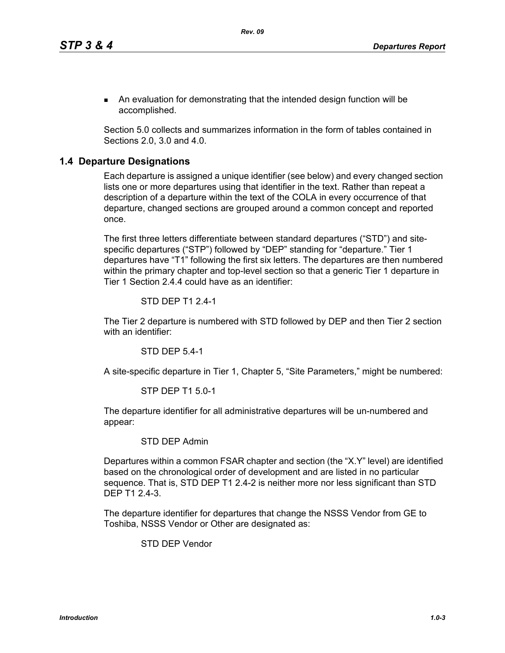An evaluation for demonstrating that the intended design function will be accomplished.

Section 5.0 collects and summarizes information in the form of tables contained in Sections 2.0, 3.0 and 4.0.

## **1.4 Departure Designations**

Each departure is assigned a unique identifier (see below) and every changed section lists one or more departures using that identifier in the text. Rather than repeat a description of a departure within the text of the COLA in every occurrence of that departure, changed sections are grouped around a common concept and reported once.

The first three letters differentiate between standard departures ("STD") and sitespecific departures ("STP") followed by "DEP" standing for "departure." Tier 1 departures have "T1" following the first six letters. The departures are then numbered within the primary chapter and top-level section so that a generic Tier 1 departure in Tier 1 Section 2.4.4 could have as an identifier:

#### STD DEP T1 2.4-1

The Tier 2 departure is numbered with STD followed by DEP and then Tier 2 section with an identifier:

STD DEP 5.4-1

A site-specific departure in Tier 1, Chapter 5, "Site Parameters," might be numbered:

#### STP DEP T1 5.0-1

The departure identifier for all administrative departures will be un-numbered and appear:

### STD DEP Admin

Departures within a common FSAR chapter and section (the "X.Y" level) are identified based on the chronological order of development and are listed in no particular sequence. That is, STD DEP T1 2.4-2 is neither more nor less significant than STD DEP T1 2.4-3.

The departure identifier for departures that change the NSSS Vendor from GE to Toshiba, NSSS Vendor or Other are designated as:

STD DEP Vendor